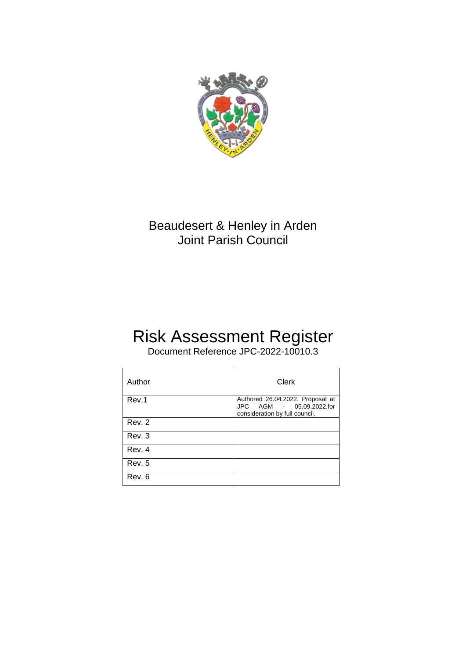

## Beaudesert & Henley in Arden Joint Parish Council

# Risk Assessment Register

Document Reference JPC-2022-10010.3

| Author | Clerk                                                                                          |
|--------|------------------------------------------------------------------------------------------------|
| Rev.1  | Authored 26.04.2022. Proposal at<br>JPC AGM - 05.09.2022.for<br>consideration by full council. |
| Rev. 2 |                                                                                                |
| Rev. 3 |                                                                                                |
| Rev. 4 |                                                                                                |
| Rev. 5 |                                                                                                |
| Rev. 6 |                                                                                                |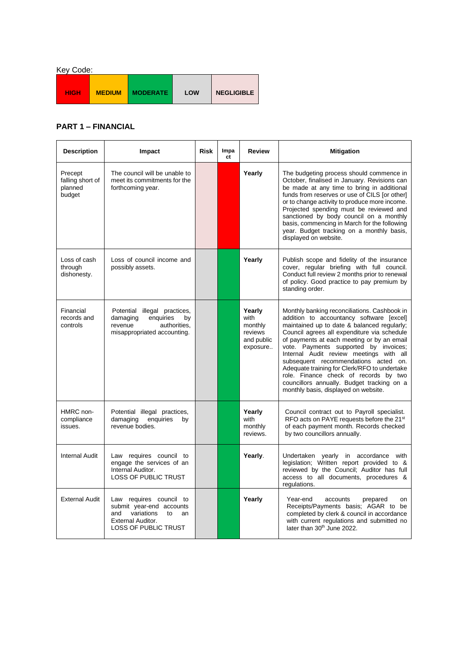| Key Code:   |               |                 |     |                   |  |  |
|-------------|---------------|-----------------|-----|-------------------|--|--|
| <b>HIGH</b> | <b>MEDIUM</b> | <b>MODERATE</b> | LOW | <b>NEGLIGIBLE</b> |  |  |

### **PART 1 – FINANCIAL**

| <b>Description</b>                               | Impact                                                                                                                                          | <b>Risk</b> | Impa<br>ct | <b>Review</b>                                                  | <b>Mitigation</b>                                                                                                                                                                                                                                                                                                                                                                                                                                                                                                                               |
|--------------------------------------------------|-------------------------------------------------------------------------------------------------------------------------------------------------|-------------|------------|----------------------------------------------------------------|-------------------------------------------------------------------------------------------------------------------------------------------------------------------------------------------------------------------------------------------------------------------------------------------------------------------------------------------------------------------------------------------------------------------------------------------------------------------------------------------------------------------------------------------------|
| Precept<br>falling short of<br>planned<br>budget | The council will be unable to<br>meet its commitments for the<br>forthcoming year.                                                              |             |            | Yearly                                                         | The budgeting process should commence in<br>October, finalised in January. Revisions can<br>be made at any time to bring in additional<br>funds from reserves or use of CILS [or other]<br>or to change activity to produce more income.<br>Projected spending must be reviewed and<br>sanctioned by body council on a monthly<br>basis, commencing in March for the following<br>year. Budget tracking on a monthly basis,<br>displayed on website.                                                                                            |
| Loss of cash<br>through<br>dishonesty.           | Loss of council income and<br>possibly assets.                                                                                                  |             |            | Yearly                                                         | Publish scope and fidelity of the insurance<br>cover, regular briefing with full council.<br>Conduct full review 2 months prior to renewal<br>of policy. Good practice to pay premium by<br>standing order.                                                                                                                                                                                                                                                                                                                                     |
| Financial<br>records and<br>controls             | Potential illegal practices,<br>damaging<br>enquiries<br>by<br>revenue<br>authorities,<br>misappropriated accounting.                           |             |            | Yearly<br>with<br>monthly<br>reviews<br>and public<br>exposure | Monthly banking reconciliations. Cashbook in<br>addition to accountancy software [excel]<br>maintained up to date & balanced regularly;<br>Council agrees all expenditure via schedule<br>of payments at each meeting or by an email<br>vote. Payments supported by invoices;<br>Internal Audit review meetings with all<br>subsequent recommendations acted on.<br>Adequate training for Clerk/RFO to undertake<br>role. Finance check of records by two<br>councillors annually. Budget tracking on a<br>monthly basis, displayed on website. |
| HMRC non-<br>compliance<br>issues.               | Potential illegal practices,<br>damaging<br>enquiries<br>by<br>revenue bodies.                                                                  |             |            | Yearly<br>with<br>monthly<br>reviews.                          | Council contract out to Payroll specialist.<br>RFO acts on PAYE requests before the 21 <sup>st</sup><br>of each payment month. Records checked<br>by two councillors annually.                                                                                                                                                                                                                                                                                                                                                                  |
| <b>Internal Audit</b>                            | Law requires council to<br>engage the services of an<br>Internal Auditor.<br><b>LOSS OF PUBLIC TRUST</b>                                        |             |            | Yearly.                                                        | Undertaken yearly in accordance with<br>legislation; Written report provided to &<br>reviewed by the Council; Auditor has full<br>access to all documents, procedures &<br>regulations.                                                                                                                                                                                                                                                                                                                                                         |
| <b>External Audit</b>                            | Law requires council to<br>submit year-end accounts<br>variations<br>and<br>to<br>an<br><b>External Auditor.</b><br><b>LOSS OF PUBLIC TRUST</b> |             |            | Yearly                                                         | Year-end<br>accounts<br>prepared<br>on<br>Receipts/Payments basis; AGAR to be<br>completed by clerk & council in accordance<br>with current regulations and submitted no<br>later than 30 <sup>th</sup> June 2022.                                                                                                                                                                                                                                                                                                                              |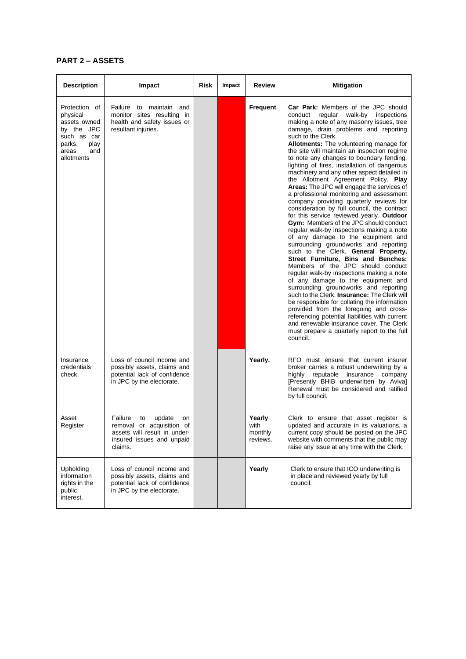#### **PART 2 – ASSETS**

| <b>Description</b>                                                                                                     | Impact                                                                                                                             | Risk | Impact | <b>Review</b>                         | <b>Mitigation</b>                                                                                                                                                                                                                                                                                                                                                                                                                                                                                                                                                                                                                                                                                                                                                                                                                                                                                                                                                                                                                                                                                                                                                                                                                                                                                                                                                                                                                     |
|------------------------------------------------------------------------------------------------------------------------|------------------------------------------------------------------------------------------------------------------------------------|------|--------|---------------------------------------|---------------------------------------------------------------------------------------------------------------------------------------------------------------------------------------------------------------------------------------------------------------------------------------------------------------------------------------------------------------------------------------------------------------------------------------------------------------------------------------------------------------------------------------------------------------------------------------------------------------------------------------------------------------------------------------------------------------------------------------------------------------------------------------------------------------------------------------------------------------------------------------------------------------------------------------------------------------------------------------------------------------------------------------------------------------------------------------------------------------------------------------------------------------------------------------------------------------------------------------------------------------------------------------------------------------------------------------------------------------------------------------------------------------------------------------|
| Protection of<br>physical<br>assets owned<br>by the JPC<br>such as car<br>play<br>parks,<br>and<br>areas<br>allotments | Failure to maintain and<br>monitor sites resulting in<br>health and safety issues or<br>resultant injuries.                        |      |        | <b>Frequent</b>                       | <b>Car Park:</b> Members of the JPC should<br>conduct<br>regular walk-by inspections<br>making a note of any masonry issues, tree<br>damage, drain problems and reporting<br>such to the Clerk.<br>Allotments: The volunteering manage for<br>the site will maintain an inspection regime<br>to note any changes to boundary fending,<br>lighting of fires, installation of dangerous<br>machinery and any other aspect detailed in<br>the Allotment Agreement Policy. Play<br>Areas: The JPC will engage the services of<br>a professional monitoring and assessment<br>company providing quarterly reviews for<br>consideration by full council, the contract<br>for this service reviewed yearly. Outdoor<br>Gym: Members of the JPC should conduct<br>regular walk-by inspections making a note<br>of any damage to the equipment and<br>surrounding groundworks and reporting<br>such to the Clerk. General Property,<br>Street Furniture, Bins and Benches:<br>Members of the JPC should conduct<br>regular walk-by inspections making a note<br>of any damage to the equipment and<br>surrounding groundworks and reporting<br>such to the Clerk. Insurance: The Clerk will<br>be responsible for collating the information<br>provided from the foregoing and cross-<br>referencing potential liabilities with current<br>and renewable insurance cover. The Clerk<br>must prepare a quarterly report to the full<br>council. |
| Insurance<br>credentials<br>check.                                                                                     | Loss of council income and<br>possibly assets, claims and<br>potential lack of confidence<br>in JPC by the electorate.             |      |        | Yearly.                               | RFO must ensure that current insurer<br>broker carries a robust underwriting by a<br>highly<br>reputable insurance<br>company<br>[Presently BHIB underwritten by Aviva]<br>Renewal must be considered and ratified<br>by full council.                                                                                                                                                                                                                                                                                                                                                                                                                                                                                                                                                                                                                                                                                                                                                                                                                                                                                                                                                                                                                                                                                                                                                                                                |
| Asset<br>Register                                                                                                      | Failure<br>update<br>to<br>on<br>removal or acquisition of<br>assets will result in under-<br>insured issues and unpaid<br>claims. |      |        | Yearly<br>with<br>monthly<br>reviews. | Clerk to ensure that asset register is<br>updated and accurate in its valuations, a<br>current copy should be posted on the JPC<br>website with comments that the public may<br>raise any issue at any time with the Clerk.                                                                                                                                                                                                                                                                                                                                                                                                                                                                                                                                                                                                                                                                                                                                                                                                                                                                                                                                                                                                                                                                                                                                                                                                           |
| Upholding<br>information<br>rights in the<br>public<br>interest.                                                       | Loss of council income and<br>possibly assets, claims and<br>potential lack of confidence<br>in JPC by the electorate.             |      |        | Yearly                                | Clerk to ensure that ICO underwriting is<br>in place and reviewed yearly by full<br>council.                                                                                                                                                                                                                                                                                                                                                                                                                                                                                                                                                                                                                                                                                                                                                                                                                                                                                                                                                                                                                                                                                                                                                                                                                                                                                                                                          |